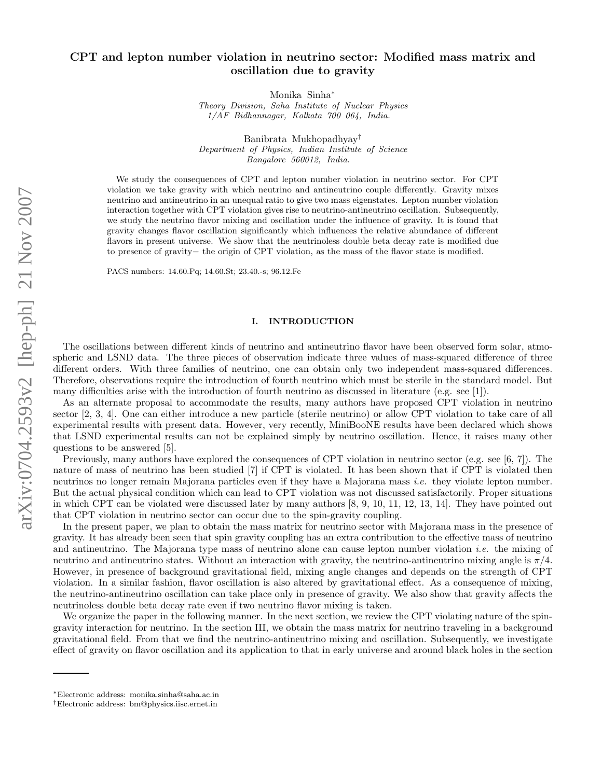# CPT and lepton number violation in neutrino sector: Modified mass matrix and oscillation due to gravity

Monika Sinha<sup>∗</sup>

*Theory Division, Saha Institute of Nuclear Physics 1/AF Bidhannagar, Kolkata 700 064, India.*

Banibrata Mukhopadhyay† *Department of Physics, Indian Institute of Science Bangalore 560012, India.*

We study the consequences of CPT and lepton number violation in neutrino sector. For CPT violation we take gravity with which neutrino and antineutrino couple differently. Gravity mixes neutrino and antineutrino in an unequal ratio to give two mass eigenstates. Lepton number violation interaction together with CPT violation gives rise to neutrino-antineutrino oscillation. Subsequently, we study the neutrino flavor mixing and oscillation under the influence of gravity. It is found that gravity changes flavor oscillation significantly which influences the relative abundance of different flavors in present universe. We show that the neutrinoless double beta decay rate is modified due to presence of gravity− the origin of CPT violation, as the mass of the flavor state is modified.

PACS numbers: 14.60.Pq; 14.60.St; 23.40.-s; 96.12.Fe

### I. INTRODUCTION

The oscillations between different kinds of neutrino and antineutrino flavor have been observed form solar, atmospheric and LSND data. The three pieces of observation indicate three values of mass-squared difference of three different orders. With three families of neutrino, one can obtain only two independent mass-squared differences. Therefore, observations require the introduction of fourth neutrino which must be sterile in the standard model. But many difficulties arise with the introduction of fourth neutrino as discussed in literature (e.g. see [1]).

As an alternate proposal to accommodate the results, many authors have proposed CPT violation in neutrino sector [2, 3, 4]. One can either introduce a new particle (sterile neutrino) or allow CPT violation to take care of all experimental results with present data. However, very recently, MiniBooNE results have been declared which shows that LSND experimental results can not be explained simply by neutrino oscillation. Hence, it raises many other questions to be answered [5].

Previously, many authors have explored the consequences of CPT violation in neutrino sector (e.g. see [6, 7]). The nature of mass of neutrino has been studied [7] if CPT is violated. It has been shown that if CPT is violated then neutrinos no longer remain Majorana particles even if they have a Majorana mass *i.e.* they violate lepton number. But the actual physical condition which can lead to CPT violation was not discussed satisfactorily. Proper situations in which CPT can be violated were discussed later by many authors [8, 9, 10, 11, 12, 13, 14]. They have pointed out that CPT violation in neutrino sector can occur due to the spin-gravity coupling.

In the present paper, we plan to obtain the mass matrix for neutrino sector with Majorana mass in the presence of gravity. It has already been seen that spin gravity coupling has an extra contribution to the effective mass of neutrino and antineutrino. The Majorana type mass of neutrino alone can cause lepton number violation i.e. the mixing of neutrino and antineutrino states. Without an interaction with gravity, the neutrino-antineutrino mixing angle is  $\pi/4$ . However, in presence of background gravitational field, mixing angle changes and depends on the strength of CPT violation. In a similar fashion, flavor oscillation is also altered by gravitational effect. As a consequence of mixing, the neutrino-antineutrino oscillation can take place only in presence of gravity. We also show that gravity affects the neutrinoless double beta decay rate even if two neutrino flavor mixing is taken.

We organize the paper in the following manner. In the next section, we review the CPT violating nature of the spingravity interaction for neutrino. In the section III, we obtain the mass matrix for neutrino traveling in a background gravitational field. From that we find the neutrino-antineutrino mixing and oscillation. Subsequently, we investigate effect of gravity on flavor oscillation and its application to that in early universe and around black holes in the section

<sup>∗</sup>Electronic address: monika.sinha@saha.ac.in

<sup>†</sup>Electronic address: bm@physics.iisc.ernet.in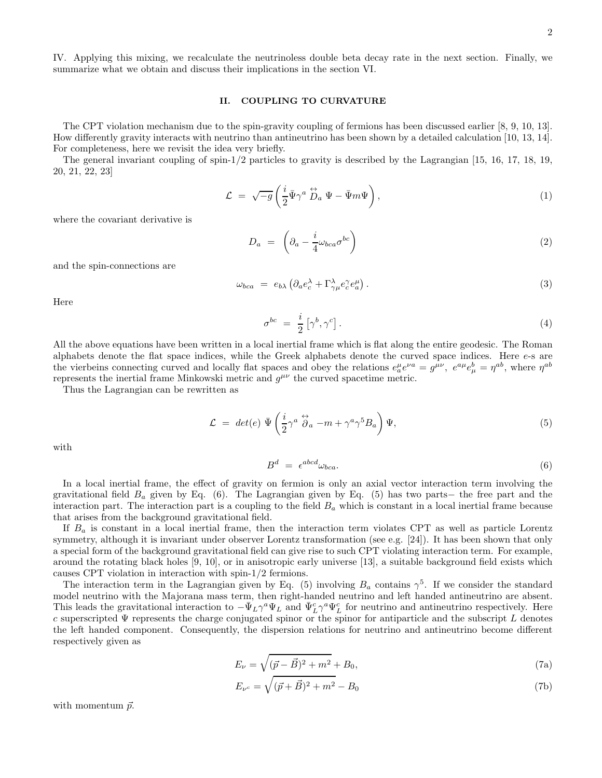IV. Applying this mixing, we recalculate the neutrinoless double beta decay rate in the next section. Finally, we summarize what we obtain and discuss their implications in the section VI.

# II. COUPLING TO CURVATURE

The CPT violation mechanism due to the spin-gravity coupling of fermions has been discussed earlier [8, 9, 10, 13]. How differently gravity interacts with neutrino than antineutrino has been shown by a detailed calculation [10, 13, 14]. For completeness, here we revisit the idea very briefly.

The general invariant coupling of spin-1/2 particles to gravity is described by the Lagrangian [15, 16, 17, 18, 19, 20, 21, 22, 23]

$$
\mathcal{L} = \sqrt{-g} \left( \frac{i}{2} \bar{\Psi} \gamma^a \stackrel{\leftrightarrow}{D}_a \Psi - \bar{\Psi} m \Psi \right), \tag{1}
$$

where the covariant derivative is

$$
D_a = \left(\partial_a - \frac{i}{4}\omega_{bca}\sigma^{bc}\right) \tag{2}
$$

and the spin-connections are

$$
\omega_{bca} = e_{b\lambda} \left( \partial_a e_c^{\lambda} + \Gamma^{\lambda}_{\gamma \mu} e_c^{\gamma} e_{a}^{\mu} \right). \tag{3}
$$

Here

$$
\sigma^{bc} = \frac{i}{2} \left[ \gamma^b, \gamma^c \right]. \tag{4}
$$

All the above equations have been written in a local inertial frame which is flat along the entire geodesic. The Roman alphabets denote the flat space indices, while the Greek alphabets denote the curved space indices. Here e-s are the vierbeins connecting curved and locally flat spaces and obey the relations  $e_a^{\mu}e^{\nu a} = g^{\mu\nu}$ ,  $e^{a\mu}e_{\mu}^{b} = \eta^{ab}$ , where  $\eta^{ab}$ represents the inertial frame Minkowski metric and  $g^{\mu\nu}$  the curved spacetime metric.

Thus the Lagrangian can be rewritten as

$$
\mathcal{L} = det(e) \bar{\Psi} \left( \frac{i}{2} \gamma^a \stackrel{\leftrightarrow}{\partial} \! a - m + \gamma^a \gamma^5 B_a \right) \Psi,
$$
\n<sup>(5)</sup>

with

$$
B^d = \epsilon^{abcd} \omega_{bca}.\tag{6}
$$

In a local inertial frame, the effect of gravity on fermion is only an axial vector interaction term involving the gravitational field  $B_a$  given by Eq. (6). The Lagrangian given by Eq. (5) has two parts− the free part and the interaction part. The interaction part is a coupling to the field  $B<sub>a</sub>$  which is constant in a local inertial frame because that arises from the background gravitational field.

If  $B_a$  is constant in a local inertial frame, then the interaction term violates CPT as well as particle Lorentz symmetry, although it is invariant under observer Lorentz transformation (see e.g. [24]). It has been shown that only a special form of the background gravitational field can give rise to such CPT violating interaction term. For example, around the rotating black holes [9, 10], or in anisotropic early universe [13], a suitable background field exists which causes CPT violation in interaction with spin-1/2 fermions.

The interaction term in the Lagrangian given by Eq. (5) involving  $B_a$  contains  $\gamma^5$ . If we consider the standard model neutrino with the Majorana mass term, then right-handed neutrino and left handed antineutrino are absent. This leads the gravitational interaction to  $-\bar{\Psi}_L \gamma^a \Psi_L$  and  $\bar{\Psi}_L^c \gamma^a \Psi_L^c$  for neutrino and antineutrino respectively. Here c superscripted  $\Psi$  represents the charge conjugated spinor or the spinor for antiparticle and the subscript L denotes the left handed component. Consequently, the dispersion relations for neutrino and antineutrino become different respectively given as

$$
E_{\nu} = \sqrt{(\vec{p} - \vec{B})^2 + m^2} + B_0,
$$
\n(7a)

$$
E_{\nu^c} = \sqrt{(\vec{p} + \vec{B})^2 + m^2} - B_0 \tag{7b}
$$

with momentum  $\vec{p}$ .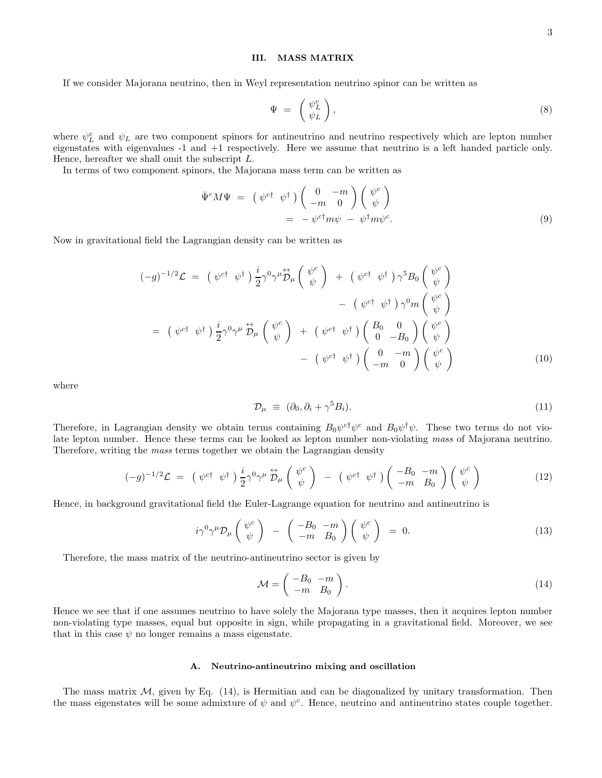## III. MASS MATRIX

If we consider Majorana neutrino, then in Weyl representation neutrino spinor can be written as

$$
\Psi = \begin{pmatrix} \psi_L^c \\ \psi_L \end{pmatrix}, \tag{8}
$$

where  $\psi_L^c$  and  $\psi_L$  are two component spinors for antineutrino and neutrino respectively which are lepton number eigenstates with eigenvalues -1 and +1 respectively. Here we assume that neutrino is a left handed particle only. Hence, hereafter we shall omit the subscript L.

In terms of two component spinors, the Majorana mass term can be written as

$$
\begin{split} \bar{\Psi}^c M \Psi &= \left( \psi^{c\dagger} \psi^{\dagger} \right) \left( \begin{array}{cc} 0 & -m \\ -m & 0 \end{array} \right) \left( \begin{array}{c} \psi^c \\ \psi \end{array} \right) \\ &= \left( -\psi^{c\dagger} m \psi - \psi^{\dagger} m \psi^c \right). \end{split} \tag{9}
$$

Now in gravitational field the Lagrangian density can be written as

$$
(-g)^{-1/2} \mathcal{L} = (\psi^{c\dagger} \ \psi^{\dagger}) \frac{i}{2} \gamma^0 \gamma^{\mu} \overleftrightarrow{\mathcal{D}}_{\mu} \begin{pmatrix} \psi^{c} \\ \psi \end{pmatrix} + (\psi^{c\dagger} \ \psi^{\dagger}) \gamma^5 B_0 \begin{pmatrix} \psi^{c} \\ \psi \end{pmatrix} - (\psi^{c\dagger} \ \psi^{\dagger}) \gamma^0 m \begin{pmatrix} \psi^{c} \\ \psi \end{pmatrix} = (\psi^{c\dagger} \ \psi^{\dagger}) \frac{i}{2} \gamma^0 \gamma^{\mu} \overleftrightarrow{\mathcal{D}}_{\mu} \begin{pmatrix} \psi^{c} \\ \psi \end{pmatrix} + (\psi^{c\dagger} \ \psi^{\dagger}) \begin{pmatrix} B_0 & 0 \\ 0 & -B_0 \end{pmatrix} \begin{pmatrix} \psi^{c} \\ \psi \end{pmatrix} - (\psi^{c\dagger} \ \psi^{\dagger}) \begin{pmatrix} 0 & -m \\ -m & 0 \end{pmatrix} \begin{pmatrix} \psi^{c} \\ \psi \end{pmatrix}
$$
(10)

where

$$
\mathcal{D}_{\mu} \equiv (\partial_0, \partial_i + \gamma^5 B_i). \tag{11}
$$

Therefore, in Lagrangian density we obtain terms containing  $B_0\psi^{c\dagger}\psi^c$  and  $B_0\psi^{\dagger}\psi$ . These two terms do not violate lepton number. Hence these terms can be looked as lepton number non-violating mass of Majorana neutrino. Therefore, writing the mass terms together we obtain the Lagrangian density

$$
(-g)^{-1/2}\mathcal{L} = (\psi^{c\dagger} \ \psi^{\dagger}) \frac{i}{2} \gamma^0 \gamma^\mu \stackrel{\leftrightarrow}{\mathcal{D}}_{\mu} \left( \stackrel{\psi^c}{\psi} \right) - (\psi^{c\dagger} \ \psi^{\dagger}) \left( \begin{array}{cc} -B_0 & -m \\ -m & B_0 \end{array} \right) \left( \stackrel{\psi^c}{\psi} \right) \tag{12}
$$

Hence, in background gravitational field the Euler-Lagrange equation for neutrino and antineutrino is

$$
i\gamma^0\gamma^\mu\mathcal{D}_\mu\left(\begin{array}{c}\psi^c\\\psi\end{array}\right) - \left(\begin{array}{cc} -B_0 & -m\\ -m & B_0\end{array}\right)\left(\begin{array}{c}\psi^c\\\psi\end{array}\right) = 0. \tag{13}
$$

Therefore, the mass matrix of the neutrino-antineutrino sector is given by

$$
\mathcal{M} = \begin{pmatrix} -B_0 & -m \\ -m & B_0 \end{pmatrix} . \tag{14}
$$

Hence we see that if one assumes neutrino to have solely the Majorana type masses, then it acquires lepton number non-violating type masses, equal but opposite in sign, while propagating in a gravitational field. Moreover, we see that in this case  $\psi$  no longer remains a mass eigenstate.

## A. Neutrino-antineutrino mixing and oscillation

The mass matrix  $M$ , given by Eq. (14), is Hermitian and can be diagonalized by unitary transformation. Then the mass eigenstates will be some admixture of  $\psi$  and  $\psi^c$ . Hence, neutrino and antineutrino states couple together.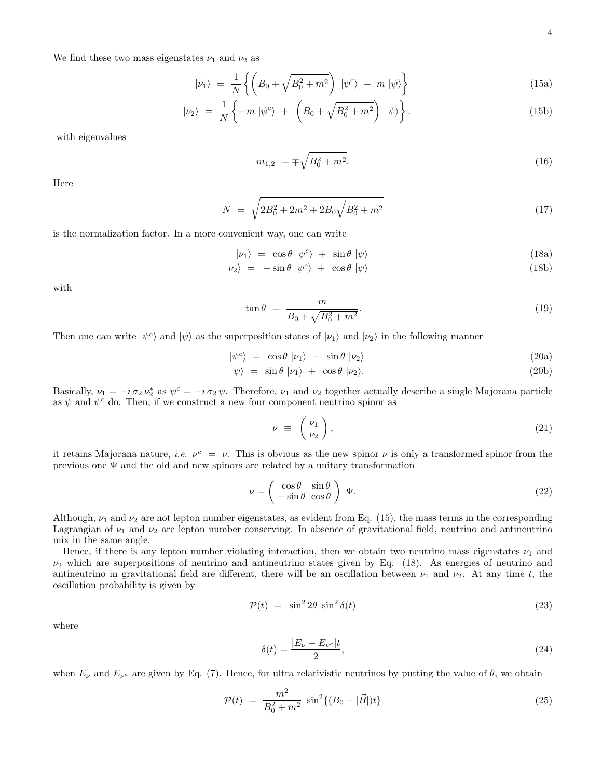We find these two mass eigenstates  $\nu_1$  and  $\nu_2$  as

$$
|\nu_1\rangle = \frac{1}{N} \left\{ \left( B_0 + \sqrt{B_0^2 + m^2} \right) \, |\psi^c\rangle + m \, |\psi\rangle \right\} \tag{15a}
$$

$$
|\nu_2\rangle = \frac{1}{N} \left\{-m \left| \psi^c \right\rangle + \left(B_0 + \sqrt{B_0^2 + m^2}\right) \left| \psi \right\rangle\right\}.
$$
 (15b)

with eigenvalues

$$
m_{1,2} = \pm \sqrt{B_0^2 + m^2}.
$$
 (16)

Here

$$
N = \sqrt{2B_0^2 + 2m^2 + 2B_0\sqrt{B_0^2 + m^2}}
$$
\n(17)

is the normalization factor. In a more convenient way, one can write

$$
|\nu_1\rangle = \cos\theta \, |\psi^c\rangle + \sin\theta \, |\psi\rangle \tag{18a}
$$

$$
|\nu_2\rangle = -\sin\theta |\psi^c\rangle + \cos\theta |\psi\rangle \tag{18b}
$$

with

$$
\tan \theta = \frac{m}{B_0 + \sqrt{B_0^2 + m^2}}.\tag{19}
$$

Then one can write  $|\psi^c\rangle$  and  $|\psi\rangle$  as the superposition states of  $|\nu_1\rangle$  and  $|\nu_2\rangle$  in the following manner

$$
|\psi^c\rangle = \cos\theta |\nu_1\rangle - \sin\theta |\nu_2\rangle \tag{20a}
$$

$$
|\psi\rangle = \sin \theta |\nu_1\rangle + \cos \theta |\nu_2\rangle. \tag{20b}
$$

Basically,  $\nu_1 = -i \sigma_2 \nu_2^*$  as  $\psi^c = -i \sigma_2 \psi$ . Therefore,  $\nu_1$  and  $\nu_2$  together actually describe a single Majorana particle as  $\psi$  and  $\psi^c$  do. Then, if we construct a new four component neutrino spinor as

$$
\nu \equiv \begin{pmatrix} \nu_1 \\ \nu_2 \end{pmatrix}, \tag{21}
$$

it retains Majorana nature, *i.e.*  $\nu^c = \nu$ . This is obvious as the new spinor  $\nu$  is only a transformed spinor from the previous one  $\Psi$  and the old and new spinors are related by a unitary transformation

$$
\nu = \begin{pmatrix} \cos \theta & \sin \theta \\ -\sin \theta & \cos \theta \end{pmatrix} \Psi.
$$
 (22)

Although,  $\nu_1$  and  $\nu_2$  are not lepton number eigenstates, as evident from Eq. (15), the mass terms in the corresponding Lagrangian of  $\nu_1$  and  $\nu_2$  are lepton number conserving. In absence of gravitational field, neutrino and antineutrino mix in the same angle.

Hence, if there is any lepton number violating interaction, then we obtain two neutrino mass eigenstates  $\nu_1$  and  $\nu_2$  which are superpositions of neutrino and antineutrino states given by Eq. (18). As energies of neutrino and antineutrino in gravitational field are different, there will be an oscillation between  $\nu_1$  and  $\nu_2$ . At any time t, the oscillation probability is given by

$$
\mathcal{P}(t) = \sin^2 2\theta \sin^2 \delta(t) \tag{23}
$$

where

$$
\delta(t) = \frac{|E_{\nu} - E_{\nu^c}|t}{2},\tag{24}
$$

when  $E_\nu$  and  $E_{\nu^c}$  are given by Eq. (7). Hence, for ultra relativistic neutrinos by putting the value of  $\theta$ , we obtain

$$
\mathcal{P}(t) = \frac{m^2}{B_0^2 + m^2} \sin^2\{(B_0 - |\vec{B}|)t\} \tag{25}
$$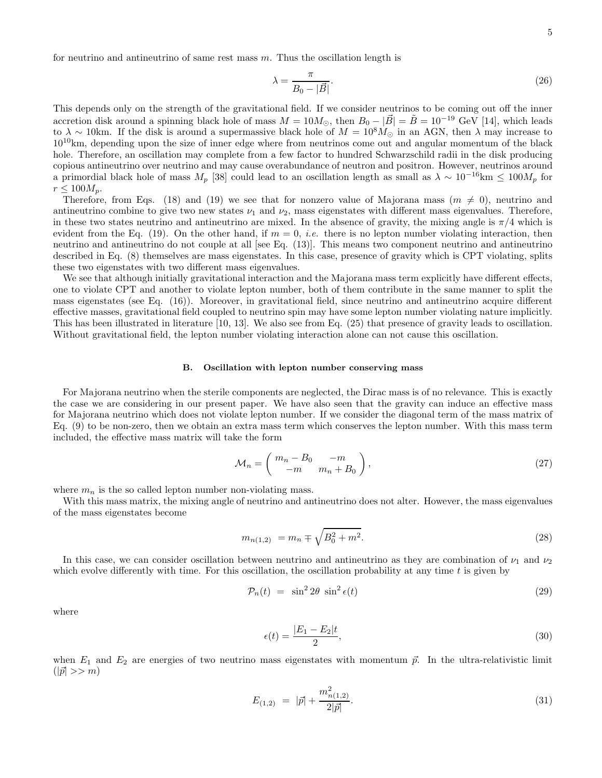for neutrino and antineutrino of same rest mass  $m$ . Thus the oscillation length is

$$
\lambda = \frac{\pi}{B_0 - |\vec{B}|}.\tag{26}
$$

This depends only on the strength of the gravitational field. If we consider neutrinos to be coming out off the inner accretion disk around a spinning black hole of mass  $M = 10M_{\odot}$ , then  $B_0 - |\vec{B}| = \tilde{B} = 10^{-19}$  GeV [14], which leads to  $\lambda \sim 10$ km. If the disk is around a supermassive black hole of  $M = 10^8 M_{\odot}$  in an AGN, then  $\lambda$  may increase to  $10^{10}$ km, depending upon the size of inner edge where from neutrinos come out and angular momentum of the black hole. Therefore, an oscillation may complete from a few factor to hundred Schwarzschild radii in the disk producing copious antineutrino over neutrino and may cause overabundance of neutron and positron. However, neutrinos around a primordial black hole of mass  $M_p$  [38] could lead to an oscillation length as small as  $\lambda \sim 10^{-16}$ km  $\leq 100M_p$  for  $r \leq 100 M_p$ .

Therefore, from Eqs. (18) and (19) we see that for nonzero value of Majorana mass ( $m \neq 0$ ), neutrino and antineutrino combine to give two new states  $\nu_1$  and  $\nu_2$ , mass eigenstates with different mass eigenvalues. Therefore, in these two states neutrino and antineutrino are mixed. In the absence of gravity, the mixing angle is  $\pi/4$  which is evident from the Eq. (19). On the other hand, if  $m = 0$ , *i.e.* there is no lepton number violating interaction, then neutrino and antineutrino do not couple at all [see Eq. (13)]. This means two component neutrino and antineutrino described in Eq. (8) themselves are mass eigenstates. In this case, presence of gravity which is CPT violating, splits these two eigenstates with two different mass eigenvalues.

We see that although initially gravitational interaction and the Majorana mass term explicitly have different effects, one to violate CPT and another to violate lepton number, both of them contribute in the same manner to split the mass eigenstates (see Eq. (16)). Moreover, in gravitational field, since neutrino and antineutrino acquire different effective masses, gravitational field coupled to neutrino spin may have some lepton number violating nature implicitly. This has been illustrated in literature [10, 13]. We also see from Eq. (25) that presence of gravity leads to oscillation. Without gravitational field, the lepton number violating interaction alone can not cause this oscillation.

### B. Oscillation with lepton number conserving mass

For Majorana neutrino when the sterile components are neglected, the Dirac mass is of no relevance. This is exactly the case we are considering in our present paper. We have also seen that the gravity can induce an effective mass for Majorana neutrino which does not violate lepton number. If we consider the diagonal term of the mass matrix of Eq. (9) to be non-zero, then we obtain an extra mass term which conserves the lepton number. With this mass term included, the effective mass matrix will take the form

$$
\mathcal{M}_n = \begin{pmatrix} m_n - B_0 & -m \\ -m & m_n + B_0 \end{pmatrix},\tag{27}
$$

where  $m_n$  is the so called lepton number non-violating mass.

With this mass matrix, the mixing angle of neutrino and antineutrino does not alter. However, the mass eigenvalues of the mass eigenstates become

$$
m_{n(1,2)} = m_n \mp \sqrt{B_0^2 + m^2}.
$$
\n(28)

In this case, we can consider oscillation between neutrino and antineutrino as they are combination of  $\nu_1$  and  $\nu_2$ which evolve differently with time. For this oscillation, the oscillation probability at any time t is given by

$$
\mathcal{P}_n(t) = \sin^2 2\theta \sin^2 \epsilon(t) \tag{29}
$$

where

$$
\epsilon(t) = \frac{|E_1 - E_2|t}{2},\tag{30}
$$

when  $E_1$  and  $E_2$  are energies of two neutrino mass eigenstates with momentum  $\vec{p}$ . In the ultra-relativistic limit  $(|\vec{p}| >> m)$ 

$$
E_{(1,2)} = |\vec{p}| + \frac{m_{n(1,2)}^2}{2|\vec{p}|}.
$$
\n(31)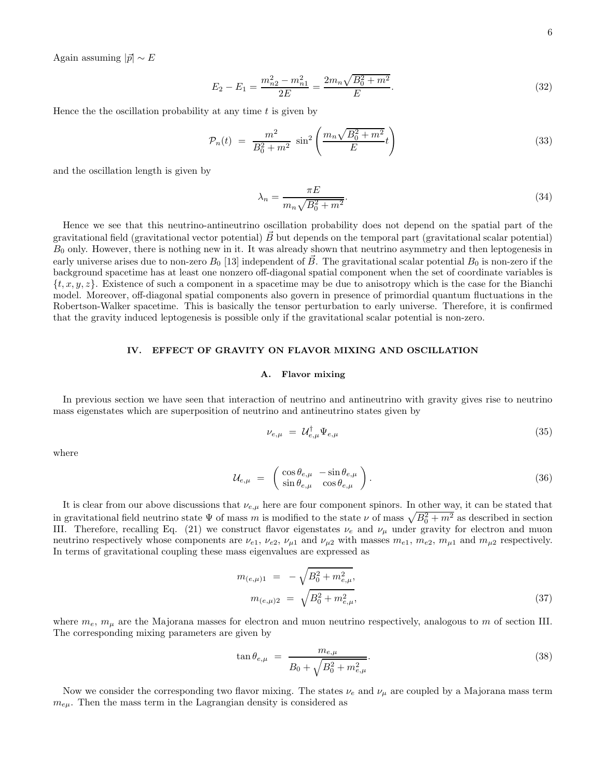Again assuming  $|\vec{p}| \sim E$ 

$$
E_2 - E_1 = \frac{m_{n2}^2 - m_{n1}^2}{2E} = \frac{2m_n\sqrt{B_0^2 + m^2}}{E}.
$$
\n(32)

Hence the the oscillation probability at any time  $t$  is given by

$$
\mathcal{P}_n(t) = \frac{m^2}{B_0^2 + m^2} \sin^2 \left( \frac{m_n \sqrt{B_0^2 + m^2}}{E} t \right)
$$
\n(33)

and the oscillation length is given by

$$
\lambda_n = \frac{\pi E}{m_n \sqrt{B_0^2 + m^2}}.\tag{34}
$$

Hence we see that this neutrino-antineutrino oscillation probability does not depend on the spatial part of the gravitational field (gravitational vector potential)  $\vec{B}$  but depends on the temporal part (gravitational scalar potential)  $B<sub>0</sub>$  only. However, there is nothing new in it. It was already shown that neutrino asymmetry and then leptogenesis in early universe arises due to non-zero  $B_0$  [13] independent of  $\vec{B}$ . The gravitational scalar potential  $B_0$  is non-zero if the background spacetime has at least one nonzero off-diagonal spatial component when the set of coordinate variables is  $\{t, x, y, z\}$ . Existence of such a component in a spacetime may be due to anisotropy which is the case for the Bianchi model. Moreover, off-diagonal spatial components also govern in presence of primordial quantum fluctuations in the Robertson-Walker spacetime. This is basically the tensor perturbation to early universe. Therefore, it is confirmed that the gravity induced leptogenesis is possible only if the gravitational scalar potential is non-zero.

# IV. EFFECT OF GRAVITY ON FLAVOR MIXING AND OSCILLATION

## A. Flavor mixing

In previous section we have seen that interaction of neutrino and antineutrino with gravity gives rise to neutrino mass eigenstates which are superposition of neutrino and antineutrino states given by

$$
\nu_{e,\mu} = \mathcal{U}_{e,\mu}^{\dagger} \Psi_{e,\mu} \tag{35}
$$

where

$$
\mathcal{U}_{e,\mu} = \begin{pmatrix} \cos \theta_{e,\mu} & -\sin \theta_{e,\mu} \\ \sin \theta_{e,\mu} & \cos \theta_{e,\mu} \end{pmatrix} . \tag{36}
$$

It is clear from our above discussions that  $\nu_{e,\mu}$  here are four component spinors. In other way, it can be stated that in gravitational field neutrino state  $\Psi$  of mass m is modified to the state  $\nu$  of mass  $\sqrt{B_0^2 + m^2}$  as described in section III. Therefore, recalling Eq. (21) we construct flavor eigenstates  $\nu_e$  and  $\nu_\mu$  under gravity for electron and muon neutrino respectively whose components are  $\nu_{e1}$ ,  $\nu_{e2}$ ,  $\nu_{\mu1}$  and  $\nu_{\mu2}$  with masses  $m_{e1}$ ,  $m_{e2}$ ,  $m_{\mu1}$  and  $m_{\mu2}$  respectively. In terms of gravitational coupling these mass eigenvalues are expressed as

$$
m_{(e,\mu)1} = -\sqrt{B_0^2 + m_{e,\mu}^2},
$$
  

$$
m_{(e,\mu)2} = \sqrt{B_0^2 + m_{e,\mu}^2},
$$
\n(37)

where  $m_e$ ,  $m_\mu$  are the Majorana masses for electron and muon neutrino respectively, analogous to m of section III. The corresponding mixing parameters are given by

$$
\tan \theta_{e,\mu} = \frac{m_{e,\mu}}{B_0 + \sqrt{B_0^2 + m_{e,\mu}^2}}.
$$
\n(38)

Now we consider the corresponding two flavor mixing. The states  $\nu_e$  and  $\nu_\mu$  are coupled by a Majorana mass term  $m_{e\mu}$ . Then the mass term in the Lagrangian density is considered as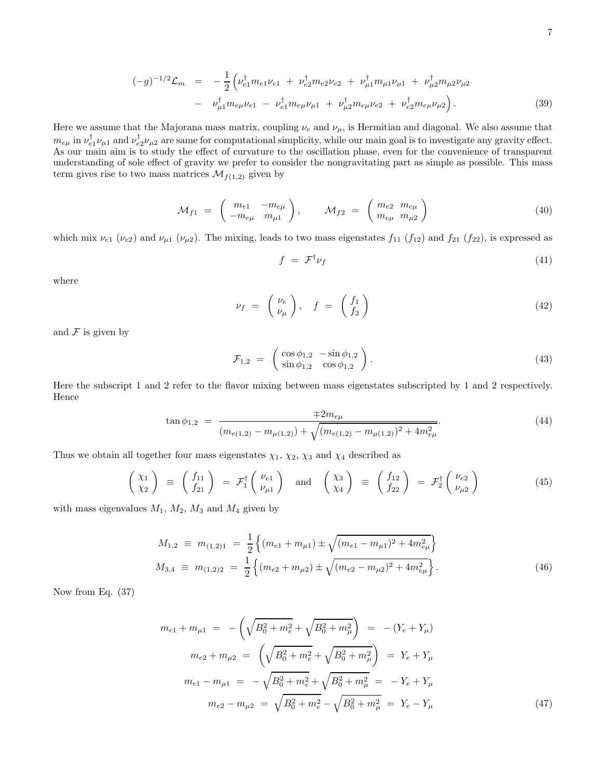$$
(-g)^{-1/2} \mathcal{L}_m = -\frac{1}{2} \left( \nu_{e1}^{\dagger} m_{e1} \nu_{e1} + \nu_{e2}^{\dagger} m_{e2} \nu_{e2} + \nu_{\mu 1}^{\dagger} m_{\mu 1} \nu_{\mu 1} + \nu_{\mu 2}^{\dagger} m_{\mu 2} \nu_{\mu 2} \right. \\ - \nu_{\mu 1}^{\dagger} m_{e\mu} \nu_{e1} - \nu_{e1}^{\dagger} m_{e\mu} \nu_{\mu 1} + \nu_{\mu 2}^{\dagger} m_{e\mu} \nu_{e2} + \nu_{e2}^{\dagger} m_{e\mu} \nu_{\mu 2} \right). \tag{39}
$$

Here we assume that the Majorana mass matrix, coupling  $\nu_e$  and  $\nu_\mu$ , is Hermitian and diagonal. We also assume that  $m_{e\mu}$  in  $\nu_{e1}^{\dagger}\nu_{\mu1}$  and  $\nu_{e2}^{\dagger}\nu_{\mu2}$  are same for computational simplicity, while our main goal is to investigate any gravity effect. As our main aim is to study the effect of curvature to the oscillation phase, even for the convenience of transparent understanding of sole effect of gravity we prefer to consider the nongravitating part as simple as possible. This mass term gives rise to two mass matrices  $\mathcal{M}_{f(1,2)}$  given by

$$
\mathcal{M}_{f1} = \begin{pmatrix} m_{e1} & -m_{e\mu} \\ -m_{e\mu} & m_{\mu 1} \end{pmatrix}, \qquad \mathcal{M}_{f2} = \begin{pmatrix} m_{e2} & m_{e\mu} \\ m_{e\mu} & m_{\mu 2} \end{pmatrix}
$$
(40)

which mix  $\nu_{e1}$  ( $\nu_{e2}$ ) and  $\nu_{\mu1}$  ( $\nu_{\mu2}$ ). The mixing, leads to two mass eigenstates  $f_{11}$  ( $f_{12}$ ) and  $f_{21}$  ( $f_{22}$ ), is expressed as

$$
f = \mathcal{F}^{\dagger} \nu_f \tag{41}
$$

where

$$
\nu_f = \begin{pmatrix} \nu_e \\ \nu_\mu \end{pmatrix}, \quad f = \begin{pmatrix} f_1 \\ f_2 \end{pmatrix} \tag{42}
$$

and  $\mathcal F$  is given by

$$
\mathcal{F}_{1,2} = \begin{pmatrix} \cos \phi_{1,2} & -\sin \phi_{1,2} \\ \sin \phi_{1,2} & \cos \phi_{1,2} \end{pmatrix} . \tag{43}
$$

Here the subscript 1 and 2 refer to the flavor mixing between mass eigenstates subscripted by 1 and 2 respectively. Hence

$$
\tan \phi_{1,2} = \frac{\mp 2m_{e\mu}}{(m_{e(1,2)} - m_{\mu(1,2)}) + \sqrt{(m_{e(1,2)} - m_{\mu(1,2)})^2 + 4m_{e\mu}^2}}.
$$
\n(44)

Thus we obtain all together four mass eigenstates  $\chi_1$ ,  $\chi_2$ ,  $\chi_3$  and  $\chi_4$  described as

$$
\begin{pmatrix} \chi_1 \\ \chi_2 \end{pmatrix} \equiv \begin{pmatrix} f_{11} \\ f_{21} \end{pmatrix} = \mathcal{F}_1^{\dagger} \begin{pmatrix} \nu_{e1} \\ \nu_{\mu 1} \end{pmatrix} \text{ and } \begin{pmatrix} \chi_3 \\ \chi_4 \end{pmatrix} \equiv \begin{pmatrix} f_{12} \\ f_{22} \end{pmatrix} = \mathcal{F}_2^{\dagger} \begin{pmatrix} \nu_{e2} \\ \nu_{\mu 2} \end{pmatrix}
$$
(45)

with mass eigenvalues  $M_1$ ,  $M_2$ ,  $M_3$  and  $M_4$  given by

$$
M_{1,2} \equiv m_{(1,2)1} = \frac{1}{2} \left\{ (m_{e1} + m_{\mu 1}) \pm \sqrt{(m_{e1} - m_{\mu 1})^2 + 4m_{e\mu}^2} \right\}
$$
  

$$
M_{3,4} \equiv m_{(1,2)2} = \frac{1}{2} \left\{ (m_{e2} + m_{\mu 2}) \pm \sqrt{(m_{e2} - m_{\mu 2})^2 + 4m_{e\mu}^2} \right\}.
$$
 (46)

Now from Eq. (37)

$$
m_{e1} + m_{\mu 1} = -\left(\sqrt{B_0^2 + m_e^2} + \sqrt{B_0^2 + m_\mu^2}\right) = -(Y_e + Y_\mu)
$$
  
\n
$$
m_{e2} + m_{\mu 2} = \left(\sqrt{B_0^2 + m_e^2} + \sqrt{B_0^2 + m_\mu^2}\right) = Y_e + Y_\mu
$$
  
\n
$$
m_{e1} - m_{\mu 1} = -\sqrt{B_0^2 + m_e^2} + \sqrt{B_0^2 + m_\mu^2} = -Y_e + Y_\mu
$$
  
\n
$$
m_{e2} - m_{\mu 2} = \sqrt{B_0^2 + m_e^2} - \sqrt{B_0^2 + m_\mu^2} = Y_e - Y_\mu
$$
\n(47)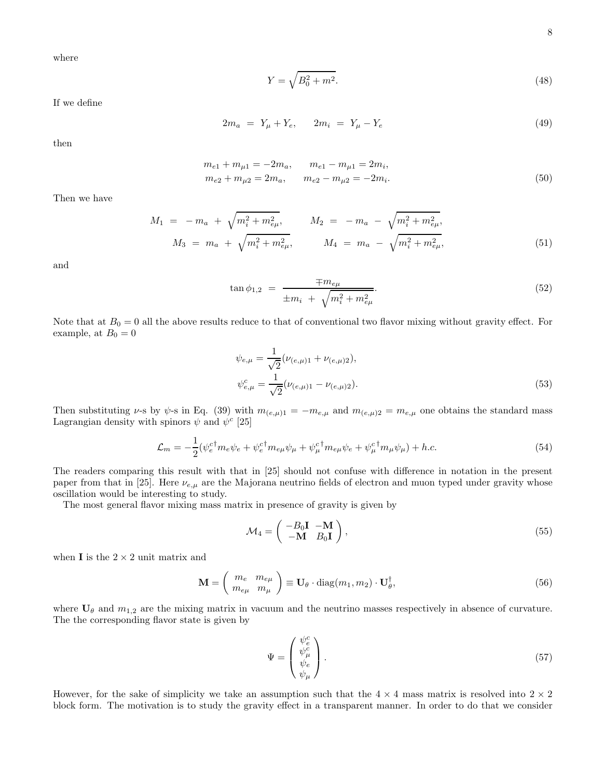where

$$
Y = \sqrt{B_0^2 + m^2}.
$$
\n(48)

If we define

$$
2m_a = Y_\mu + Y_e, \qquad 2m_i = Y_\mu - Y_e \tag{49}
$$

then

$$
m_{e1} + m_{\mu 1} = -2m_a, \qquad m_{e1} - m_{\mu 1} = 2m_i,m_{e2} + m_{\mu 2} = 2m_a, \qquad m_{e2} - m_{\mu 2} = -2m_i.
$$
\n(50)

Then we have

$$
M_1 = -m_a + \sqrt{m_i^2 + m_{e\mu}^2}, \qquad M_2 = -m_a - \sqrt{m_i^2 + m_{e\mu}^2},
$$
  

$$
M_3 = m_a + \sqrt{m_i^2 + m_{e\mu}^2}, \qquad M_4 = m_a - \sqrt{m_i^2 + m_{e\mu}^2},
$$
  
(51)

and

$$
\tan \phi_{1,2} = \frac{\mp m_{e\mu}}{\pm m_i + \sqrt{m_i^2 + m_{e\mu}^2}}.
$$
\n(52)

Note that at  $B_0 = 0$  all the above results reduce to that of conventional two flavor mixing without gravity effect. For example, at  $B_0 = 0$ 

$$
\psi_{e,\mu} = \frac{1}{\sqrt{2}} (\nu_{(e,\mu)1} + \nu_{(e,\mu)2}),
$$
  

$$
\psi_{e,\mu}^c = \frac{1}{\sqrt{2}} (\nu_{(e,\mu)1} - \nu_{(e,\mu)2}).
$$
\n(53)

Then substituting  $\nu$ -s by  $\psi$ -s in Eq. (39) with  $m_{(e,\mu)1} = -m_{e,\mu}$  and  $m_{(e,\mu)2} = m_{e,\mu}$  one obtains the standard mass Lagrangian density with spinors  $\psi$  and  $\psi^c$  [25]

$$
\mathcal{L}_m = -\frac{1}{2} (\psi_e^{c\dagger} m_e \psi_e + \psi_e^{c\dagger} m_{e\mu} \psi_\mu + \psi_\mu^{c\dagger} m_{e\mu} \psi_e + \psi_\mu^{c\dagger} m_\mu \psi_\mu) + h.c.
$$
\n
$$
(54)
$$

The readers comparing this result with that in [25] should not confuse with difference in notation in the present paper from that in [25]. Here  $\nu_{e,\mu}$  are the Majorana neutrino fields of electron and muon typed under gravity whose oscillation would be interesting to study.

The most general flavor mixing mass matrix in presence of gravity is given by

$$
\mathcal{M}_4 = \begin{pmatrix} -B_0 \mathbf{I} & -\mathbf{M} \\ -\mathbf{M} & B_0 \mathbf{I} \end{pmatrix},\tag{55}
$$

when **I** is the  $2 \times 2$  unit matrix and

$$
\mathbf{M} = \begin{pmatrix} m_e & m_{e\mu} \\ m_{e\mu} & m_{\mu} \end{pmatrix} \equiv \mathbf{U}_{\theta} \cdot \text{diag}(m_1, m_2) \cdot \mathbf{U}_{\theta}^{\dagger}, \tag{56}
$$

where  $U_{\theta}$  and  $m_{1,2}$  are the mixing matrix in vacuum and the neutrino masses respectively in absence of curvature. The the corresponding flavor state is given by

$$
\Psi = \begin{pmatrix} \psi_e^c \\ \psi_\mu^c \\ \psi_e \\ \psi_\mu \end{pmatrix} . \tag{57}
$$

However, for the sake of simplicity we take an assumption such that the  $4 \times 4$  mass matrix is resolved into  $2 \times 2$ block form. The motivation is to study the gravity effect in a transparent manner. In order to do that we consider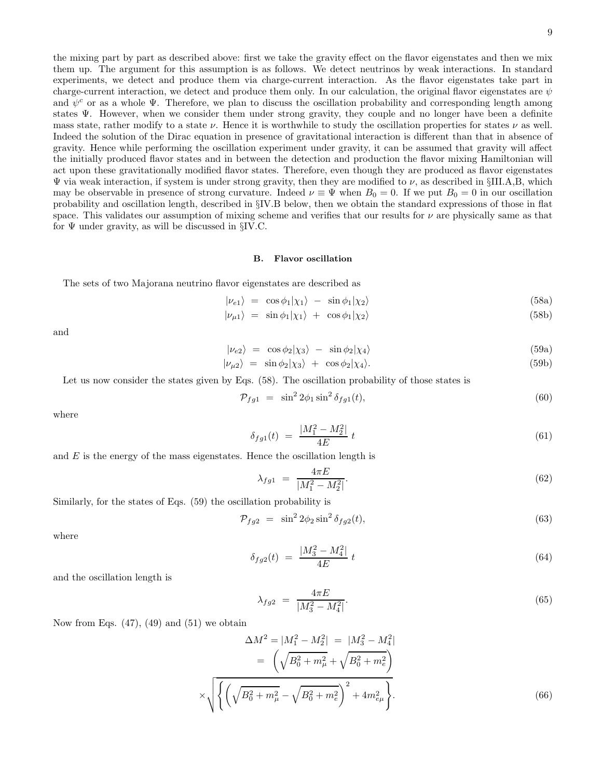the mixing part by part as described above: first we take the gravity effect on the flavor eigenstates and then we mix them up. The argument for this assumption is as follows. We detect neutrinos by weak interactions. In standard experiments, we detect and produce them via charge-current interaction. As the flavor eigenstates take part in charge-current interaction, we detect and produce them only. In our calculation, the original flavor eigenstates are  $\psi$ and  $\psi^c$  or as a whole  $\Psi$ . Therefore, we plan to discuss the oscillation probability and corresponding length among states Ψ. However, when we consider them under strong gravity, they couple and no longer have been a definite mass state, rather modify to a state  $\nu$ . Hence it is worthwhile to study the oscillation properties for states  $\nu$  as well. Indeed the solution of the Dirac equation in presence of gravitational interaction is different than that in absence of gravity. Hence while performing the oscillation experiment under gravity, it can be assumed that gravity will affect the initially produced flavor states and in between the detection and production the flavor mixing Hamiltonian will act upon these gravitationally modified flavor states. Therefore, even though they are produced as flavor eigenstates  $\Psi$  via weak interaction, if system is under strong gravity, then they are modified to  $\nu$ , as described in §III.A,B, which may be observable in presence of strong curvature. Indeed  $\nu \equiv \Psi$  when  $B_0 = 0$ . If we put  $B_0 = 0$  in our oscillation probability and oscillation length, described in §IV.B below, then we obtain the standard expressions of those in flat space. This validates our assumption of mixing scheme and verifies that our results for  $\nu$  are physically same as that for  $\Psi$  under gravity, as will be discussed in §IV.C.

### B. Flavor oscillation

The sets of two Majorana neutrino flavor eigenstates are described as

$$
|\nu_{e1}\rangle = \cos\phi_1|\chi_1\rangle - \sin\phi_1|\chi_2\rangle \tag{58a}
$$

$$
|\nu_{\mu 1}\rangle = \sin \phi_1 |\chi_1\rangle + \cos \phi_1 |\chi_2\rangle \tag{58b}
$$

and

$$
|\nu_{e2}\rangle = \cos\phi_2|\chi_3\rangle - \sin\phi_2|\chi_4\rangle \tag{59a}
$$

$$
|\nu_{\mu 2}\rangle = \sin \phi_2 |\chi_3\rangle + \cos \phi_2 |\chi_4\rangle. \tag{59b}
$$

Let us now consider the states given by Eqs.  $(58)$ . The oscillation probability of those states is

$$
\mathcal{P}_{fg1} = \sin^2 2\phi_1 \sin^2 \delta_{fg1}(t),\tag{60}
$$

where

$$
\delta_{fg1}(t) = \frac{|M_1^2 - M_2^2|}{4E} t \tag{61}
$$

and  $E$  is the energy of the mass eigenstates. Hence the oscillation length is

$$
\lambda_{fg1} = \frac{4\pi E}{|M_1^2 - M_2^2|}.\tag{62}
$$

Similarly, for the states of Eqs. (59) the oscillation probability is

$$
\mathcal{P}_{fg2} = \sin^2 2\phi_2 \sin^2 \delta_{fg2}(t),\tag{63}
$$

where

$$
\delta_{fg2}(t) = \frac{|M_3^2 - M_4^2|}{4E} t \tag{64}
$$

and the oscillation length is

$$
\lambda_{fg2} = \frac{4\pi E}{|M_3^2 - M_4^2|}.\tag{65}
$$

Now from Eqs.  $(47)$ ,  $(49)$  and  $(51)$  we obtain

$$
\Delta M^2 = |M_1^2 - M_2^2| = |M_3^2 - M_4^2| \n= \left(\sqrt{B_0^2 + m_\mu^2} + \sqrt{B_0^2 + m_e^2}\right) \n\times \sqrt{\left\{\left(\sqrt{B_0^2 + m_\mu^2} - \sqrt{B_0^2 + m_e^2}\right)^2 + 4m_{e\mu}^2\right\}}.
$$
\n(66)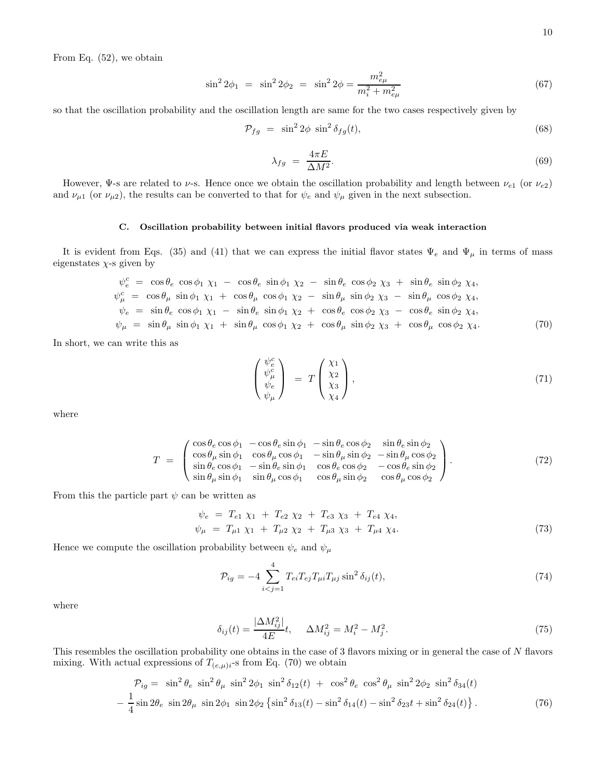From Eq. (52), we obtain

$$
\sin^2 2\phi_1 = \sin^2 2\phi_2 = \sin^2 2\phi = \frac{m_{e\mu}^2}{m_i^2 + m_{e\mu}^2}
$$
\n(67)

so that the oscillation probability and the oscillation length are same for the two cases respectively given by

$$
\mathcal{P}_{fg} = \sin^2 2\phi \sin^2 \delta_{fg}(t),\tag{68}
$$

$$
\lambda_{fg} = \frac{4\pi E}{\Delta M^2}.
$$
\n(69)

However, Ψ-s are related to  $\nu$ -s. Hence once we obtain the oscillation probability and length between  $\nu_{e1}$  (or  $\nu_{e2}$ ) and  $\nu_{\mu 1}$  (or  $\nu_{\mu 2}$ ), the results can be converted to that for  $\psi_e$  and  $\psi_{\mu}$  given in the next subsection.

# C. Oscillation probability between initial flavors produced via weak interaction

It is evident from Eqs. (35) and (41) that we can express the initial flavor states  $\Psi_e$  and  $\Psi_\mu$  in terms of mass eigenstates  $\chi$ -s given by

$$
\psi_c^c = \cos \theta_e \cos \phi_1 \chi_1 - \cos \theta_e \sin \phi_1 \chi_2 - \sin \theta_e \cos \phi_2 \chi_3 + \sin \theta_e \sin \phi_2 \chi_4,\n\psi_{\mu}^c = \cos \theta_{\mu} \sin \phi_1 \chi_1 + \cos \theta_{\mu} \cos \phi_1 \chi_2 - \sin \theta_{\mu} \sin \phi_2 \chi_3 - \sin \theta_{\mu} \cos \phi_2 \chi_4,\n\psi_e = \sin \theta_e \cos \phi_1 \chi_1 - \sin \theta_e \sin \phi_1 \chi_2 + \cos \theta_e \cos \phi_2 \chi_3 - \cos \theta_e \sin \phi_2 \chi_4,\n\psi_{\mu} = \sin \theta_{\mu} \sin \phi_1 \chi_1 + \sin \theta_{\mu} \cos \phi_1 \chi_2 + \cos \theta_{\mu} \sin \phi_2 \chi_3 + \cos \theta_{\mu} \cos \phi_2 \chi_4.
$$
\n(70)

In short, we can write this as

$$
\begin{pmatrix} \psi_e^c \\ \psi_\mu^c \\ \psi_e \\ \psi_\mu \end{pmatrix} = T \begin{pmatrix} \chi_1 \\ \chi_2 \\ \chi_3 \\ \chi_4 \end{pmatrix}, \tag{71}
$$

where

$$
T = \begin{pmatrix} \cos \theta_e \cos \phi_1 & -\cos \theta_e \sin \phi_1 & -\sin \theta_e \cos \phi_2 & \sin \theta_e \sin \phi_2 \\ \cos \theta_\mu \sin \phi_1 & \cos \theta_\mu \cos \phi_1 & -\sin \theta_\mu \sin \phi_2 & -\sin \theta_\mu \cos \phi_2 \\ \sin \theta_e \cos \phi_1 & -\sin \theta_e \sin \phi_1 & \cos \theta_e \cos \phi_2 & -\cos \theta_e \sin \phi_2 \\ \sin \theta_\mu \sin \phi_1 & \sin \theta_\mu \cos \phi_1 & \cos \theta_\mu \sin \phi_2 & \cos \theta_\mu \cos \phi_2 \end{pmatrix} . \tag{72}
$$

From this the particle part  $\psi$  can be written as

$$
\psi_e = T_{e1} \chi_1 + T_{e2} \chi_2 + T_{e3} \chi_3 + T_{e4} \chi_4,\n\psi_\mu = T_{\mu 1} \chi_1 + T_{\mu 2} \chi_2 + T_{\mu 3} \chi_3 + T_{\mu 4} \chi_4.
$$
\n(73)

Hence we compute the oscillation probability between  $\psi_e$  and  $\psi_\mu$ 

$$
\mathcal{P}_{ig} = -4 \sum_{i < j=1}^{4} T_{ei} T_{ej} T_{\mu i} T_{\mu j} \sin^2 \delta_{ij}(t),\tag{74}
$$

where

$$
\delta_{ij}(t) = \frac{|\Delta M_{ij}^2|}{4E}t, \quad \Delta M_{ij}^2 = M_i^2 - M_j^2. \tag{75}
$$

This resembles the oscillation probability one obtains in the case of 3 flavors mixing or in general the case of N flavors mixing. With actual expressions of  $T_{(e,\mu)i}$ -s from Eq. (70) we obtain

$$
\mathcal{P}_{ig} = \sin^2 \theta_e \sin^2 \theta_\mu \sin^2 2\phi_1 \sin^2 \delta_{12}(t) + \cos^2 \theta_e \cos^2 \theta_\mu \sin^2 2\phi_2 \sin^2 \delta_{34}(t) \n- \frac{1}{4} \sin 2\theta_e \sin 2\theta_\mu \sin 2\phi_1 \sin 2\phi_2 \left\{ \sin^2 \delta_{13}(t) - \sin^2 \delta_{14}(t) - \sin^2 \delta_{23}t + \sin^2 \delta_{24}(t) \right\}.
$$
\n(76)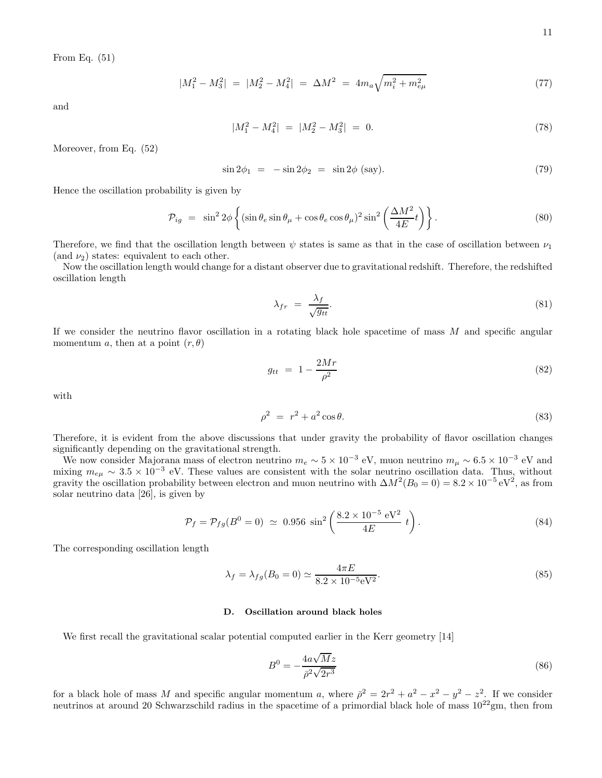From Eq. (51)

$$
|M_1^2 - M_3^2| = |M_2^2 - M_4^2| = \Delta M^2 = 4m_a \sqrt{m_i^2 + m_{e\mu}^2}
$$
 (77)

and

$$
|M_1^2 - M_4^2| = |M_2^2 - M_3^2| = 0.
$$
\n(78)

Moreover, from Eq. (52)

$$
\sin 2\phi_1 = -\sin 2\phi_2 = \sin 2\phi \text{ (say)}.
$$
\n(79)

Hence the oscillation probability is given by

$$
\mathcal{P}_{ig} = \sin^2 2\phi \left\{ (\sin \theta_e \sin \theta_\mu + \cos \theta_e \cos \theta_\mu)^2 \sin^2 \left( \frac{\Delta M^2}{4E} t \right) \right\}.
$$
\n(80)

Therefore, we find that the oscillation length between  $\psi$  states is same as that in the case of oscillation between  $\nu_1$ (and  $\nu_2$ ) states: equivalent to each other.

Now the oscillation length would change for a distant observer due to gravitational redshift. Therefore, the redshifted oscillation length

$$
\lambda_{fr} = \frac{\lambda_f}{\sqrt{g_{tt}}}.\tag{81}
$$

If we consider the neutrino flavor oscillation in a rotating black hole spacetime of mass  $M$  and specific angular momentum a, then at a point  $(r, \theta)$ 

$$
g_{tt} = 1 - \frac{2Mr}{\rho^2} \tag{82}
$$

with

$$
\rho^2 = r^2 + a^2 \cos \theta. \tag{83}
$$

Therefore, it is evident from the above discussions that under gravity the probability of flavor oscillation changes significantly depending on the gravitational strength.

We now consider Majorana mass of electron neutrino  $m_e \sim 5 \times 10^{-3}$  eV, muon neutrino  $m_\mu \sim 6.5 \times 10^{-3}$  eV and mixing  $m_{e\mu} \sim 3.5 \times 10^{-3}$  eV. These values are consistent with the solar neutrino oscillation data. Thus, without gravity the oscillation probability between electron and muon neutrino with  $\Delta M^2(B_0 = 0) = 8.2 \times 10^{-5} \text{ eV}^2$ , as from solar neutrino data [26], is given by

$$
\mathcal{P}_f = \mathcal{P}_{fg}(B^0 = 0) \simeq 0.956 \sin^2 \left(\frac{8.2 \times 10^{-5} \text{ eV}^2}{4E} t\right). \tag{84}
$$

The corresponding oscillation length

$$
\lambda_f = \lambda_{fg}(B_0 = 0) \simeq \frac{4\pi E}{8.2 \times 10^{-5} \text{eV}^2}.
$$
\n(85)

### D. Oscillation around black holes

We first recall the gravitational scalar potential computed earlier in the Kerr geometry [14]

$$
B^0 = -\frac{4a\sqrt{M}z}{\bar{\rho}^2\sqrt{2r^3}}\tag{86}
$$

for a black hole of mass M and specific angular momentum a, where  $\bar{\rho}^2 = 2r^2 + a^2 - x^2 - y^2 - z^2$ . If we consider neutrinos at around 20 Schwarzschild radius in the spacetime of a primordial black hole of mass  $10^{22}$ gm, then from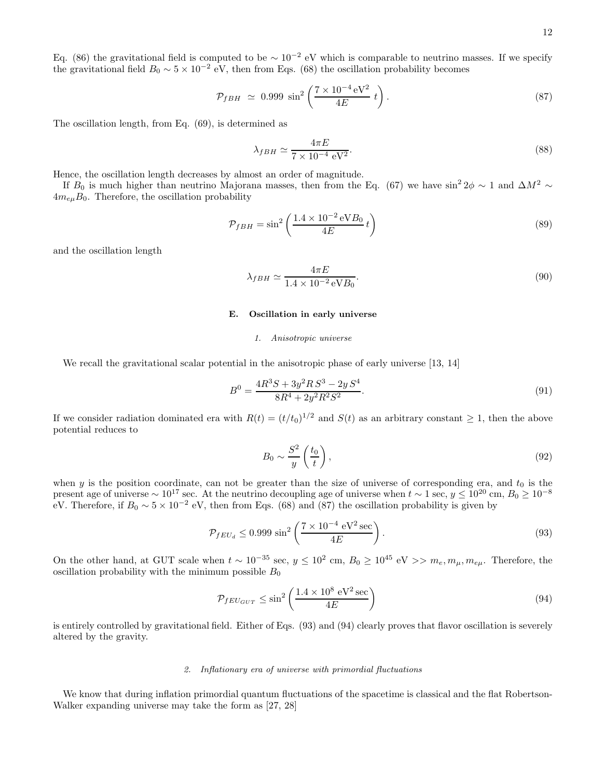Eq. (86) the gravitational field is computed to be  $\sim 10^{-2}$  eV which is comparable to neutrino masses. If we specify the gravitational field  $B_0 \sim 5 \times 10^{-2}$  eV, then from Eqs. (68) the oscillation probability becomes

$$
\mathcal{P}_{fBH} \simeq 0.999 \sin^2 \left( \frac{7 \times 10^{-4} \,\mathrm{eV^2}}{4E} \, t \right). \tag{87}
$$

The oscillation length, from Eq. (69), is determined as

$$
\lambda_{fBH} \simeq \frac{4\pi E}{7 \times 10^{-4} \text{ eV}^2}.
$$
\n(88)

Hence, the oscillation length decreases by almost an order of magnitude.

If  $B_0$  is much higher than neutrino Majorana masses, then from the Eq. (67) we have sin<sup>2</sup> 2 $\phi \sim 1$  and  $\Delta M^2 \sim$  $4m_{e\mu}B_0$ . Therefore, the oscillation probability

$$
\mathcal{P}_{fBH} = \sin^2 \left( \frac{1.4 \times 10^{-2} \,\text{eV} B_0}{4E} \, t \right) \tag{89}
$$

and the oscillation length

$$
\lambda_{fBH} \simeq \frac{4\pi E}{1.4 \times 10^{-2} \,\text{eV}B_0}.\tag{90}
$$

## E. Oscillation in early universe

## *1. Anisotropic universe*

We recall the gravitational scalar potential in the anisotropic phase of early universe [13, 14]

$$
B^{0} = \frac{4R^{3}S + 3y^{2}RS^{3} - 2yS^{4}}{8R^{4} + 2y^{2}R^{2}S^{2}}.
$$
\n(91)

If we consider radiation dominated era with  $R(t) = (t/t_0)^{1/2}$  and  $S(t)$  as an arbitrary constant  $\geq 1$ , then the above potential reduces to

$$
B_0 \sim \frac{S^2}{y} \left(\frac{t_0}{t}\right),\tag{92}
$$

when  $y$  is the position coordinate, can not be greater than the size of universe of corresponding era, and  $t_0$  is the present age of universe  $\sim 10^{17}$  sec. At the neutrino decoupling age of universe when  $t \sim 1$  sec,  $y \le 10^{20}$  cm,  $B_0 \ge 10^{-8}$ eV. Therefore, if  $B_0 \sim 5 \times 10^{-2}$  eV, then from Eqs. (68) and (87) the oscillation probability is given by

$$
\mathcal{P}_{fEU_d} \le 0.999 \sin^2 \left( \frac{7 \times 10^{-4} \text{ eV}^2 \text{ sec}}{4E} \right). \tag{93}
$$

On the other hand, at GUT scale when  $t \sim 10^{-35}$  sec,  $y \le 10^2$  cm,  $B_0 \ge 10^{45}$  eV  $\gg m_e, m_\mu, m_{e\mu}$ . Therefore, the oscillation probability with the minimum possible  $B_0$ 

$$
\mathcal{P}_{fEU_{GUT}} \le \sin^2\left(\frac{1.4 \times 10^8 \text{ eV}^2 \text{ sec}}{4E}\right) \tag{94}
$$

is entirely controlled by gravitational field. Either of Eqs. (93) and (94) clearly proves that flavor oscillation is severely altered by the gravity.

## *2. Inflationary era of universe with primordial fluctuations*

We know that during inflation primordial quantum fluctuations of the spacetime is classical and the flat Robertson-Walker expanding universe may take the form as [27, 28]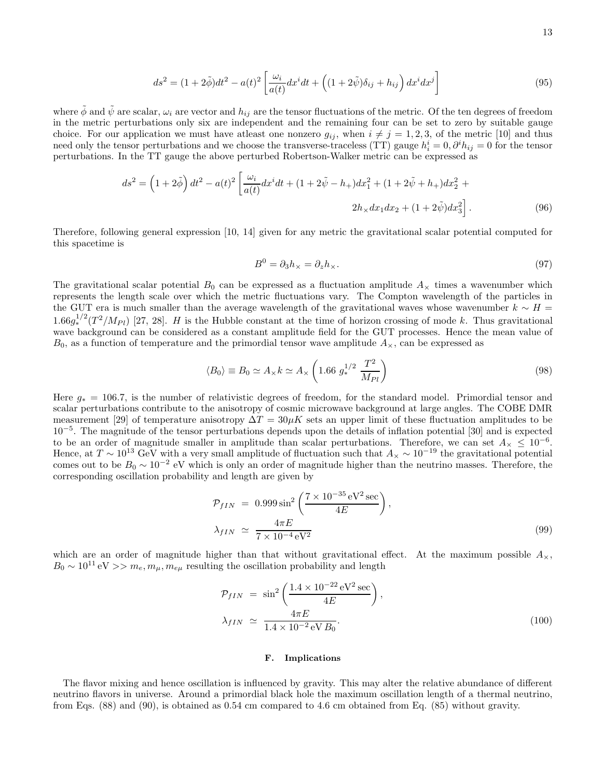$$
ds^{2} = (1+2\tilde{\phi})dt^{2} - a(t)^{2} \left[ \frac{\omega_{i}}{a(t)} dx^{i} dt + \left( (1+2\tilde{\psi})\delta_{ij} + h_{ij} \right) dx^{i} dx^{j} \right]
$$
(95)

where  $\tilde{\phi}$  and  $\tilde{\psi}$  are scalar,  $\omega_i$  are vector and  $h_{ij}$  are the tensor fluctuations of the metric. Of the ten degrees of freedom in the metric perturbations only six are independent and the remaining four can be set to zero by suitable gauge choice. For our application we must have at east one nonzero  $g_{ij}$ , when  $i \neq j = 1, 2, 3$ , of the metric [10] and thus need only the tensor perturbations and we choose the transverse-traceless (TT) gauge  $h_i^i = 0, \partial^i h_{ij} = 0$  for the tensor perturbations. In the TT gauge the above perturbed Robertson-Walker metric can be expressed as

$$
ds^{2} = \left(1 + 2\tilde{\phi}\right)dt^{2} - a(t)^{2}\left[\frac{\omega_{i}}{a(t)}dx^{i}dt + (1 + 2\tilde{\psi} - h_{+})dx_{1}^{2} + (1 + 2\tilde{\psi} + h_{+})dx_{2}^{2} + 2h_{\times}dx_{1}dx_{2} + (1 + 2\tilde{\psi})dx_{3}^{2}\right].
$$
\n(96)

Therefore, following general expression [10, 14] given for any metric the gravitational scalar potential computed for this spacetime is

$$
B^0 = \partial_3 h_{\times} = \partial_z h_{\times}.\tag{97}
$$

The gravitational scalar potential  $B_0$  can be expressed as a fluctuation amplitude  $A_\times$  times a wavenumber which represents the length scale over which the metric fluctuations vary. The Compton wavelength of the particles in the GUT era is much smaller than the average wavelength of the gravitational waves whose wavenumber  $k \sim H =$  $1.66g_*^{1/2}(T^2/M_{Pl})$  [27, 28]. H is the Hubble constant at the time of horizon crossing of mode k. Thus gravitational wave background can be considered as a constant amplitude field for the GUT processes. Hence the mean value of  $B_0$ , as a function of temperature and the primordial tensor wave amplitude  $A_\times$ , can be expressed as

$$
\langle B_0 \rangle \equiv B_0 \simeq A_{\times} k \simeq A_{\times} \left( 1.66 \ g_{*}^{1/2} \ \frac{T^2}{M_{Pl}} \right) \tag{98}
$$

Here  $g_* = 106.7$ , is the number of relativistic degrees of freedom, for the standard model. Primordial tensor and scalar perturbations contribute to the anisotropy of cosmic microwave background at large angles. The COBE DMR measurement [29] of temperature anisotropy  $\Delta T = 30 \mu K$  sets an upper limit of these fluctuation amplitudes to be 10<sup>−</sup><sup>5</sup> . The magnitude of the tensor perturbations depends upon the details of inflation potential [30] and is expected to be an order of magnitude smaller in amplitude than scalar perturbations. Therefore, we can set  $A_{\times} \leq 10^{-6}$ . Hence, at  $T \sim 10^{13}$  GeV with a very small amplitude of fluctuation such that  $A_{\times} \sim 10^{-19}$  the gravitational potential comes out to be  $B_0 \sim 10^{-2}$  eV which is only an order of magnitude higher than the neutrino masses. Therefore, the corresponding oscillation probability and length are given by

$$
\mathcal{P}_{fIN} = 0.999 \sin^2 \left( \frac{7 \times 10^{-35} \,\text{eV}^2 \,\text{sec}}{4E} \right),
$$
  

$$
\lambda_{fIN} \simeq \frac{4\pi E}{7 \times 10^{-4} \,\text{eV}^2} \tag{99}
$$

which are an order of magnitude higher than that without gravitational effect. At the maximum possible  $A_{\times}$ ,  $B_0 \sim 10^{11} \,\text{eV} >> m_e, m_\mu, m_{e\mu}$  resulting the oscillation probability and length

$$
\mathcal{P}_{fIN} = \sin^2 \left( \frac{1.4 \times 10^{-22} \, \text{eV}^2 \, \text{sec}}{4E} \right), \n\lambda_{fIN} \simeq \frac{4\pi E}{1.4 \times 10^{-2} \, \text{eV} \, B_0}.
$$
\n(100)

## F. Implications

The flavor mixing and hence oscillation is influenced by gravity. This may alter the relative abundance of different neutrino flavors in universe. Around a primordial black hole the maximum oscillation length of a thermal neutrino, from Eqs. (88) and (90), is obtained as 0.54 cm compared to 4.6 cm obtained from Eq. (85) without gravity.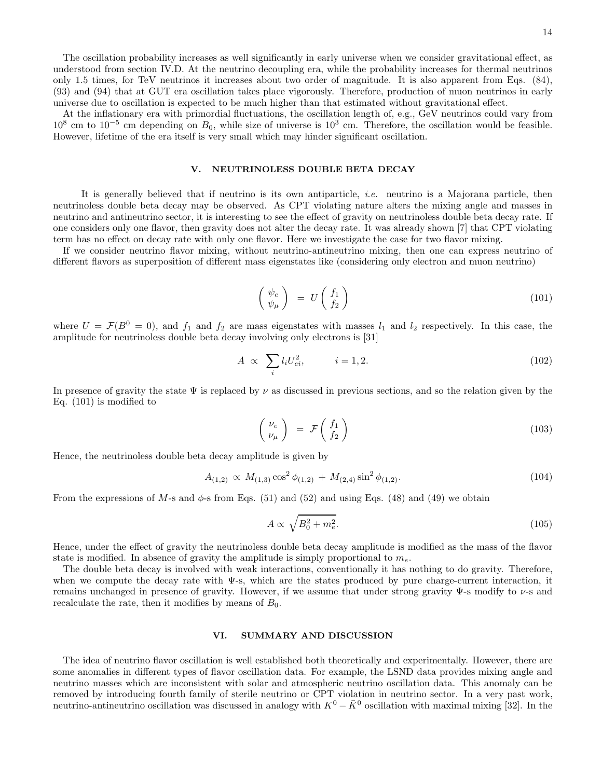The oscillation probability increases as well significantly in early universe when we consider gravitational effect, as understood from section IV.D. At the neutrino decoupling era, while the probability increases for thermal neutrinos only 1.5 times, for TeV neutrinos it increases about two order of magnitude. It is also apparent from Eqs. (84), (93) and (94) that at GUT era oscillation takes place vigorously. Therefore, production of muon neutrinos in early universe due to oscillation is expected to be much higher than that estimated without gravitational effect.

At the inflationary era with primordial fluctuations, the oscillation length of, e.g., GeV neutrinos could vary from  $10^8$  cm to  $10^{-5}$  cm depending on  $B_0$ , while size of universe is  $10^3$  cm. Therefore, the oscillation would be feasible. However, lifetime of the era itself is very small which may hinder significant oscillation.

## V. NEUTRINOLESS DOUBLE BETA DECAY

It is generally believed that if neutrino is its own antiparticle, i.e. neutrino is a Majorana particle, then neutrinoless double beta decay may be observed. As CPT violating nature alters the mixing angle and masses in neutrino and antineutrino sector, it is interesting to see the effect of gravity on neutrinoless double beta decay rate. If one considers only one flavor, then gravity does not alter the decay rate. It was already shown [7] that CPT violating term has no effect on decay rate with only one flavor. Here we investigate the case for two flavor mixing.

If we consider neutrino flavor mixing, without neutrino-antineutrino mixing, then one can express neutrino of different flavors as superposition of different mass eigenstates like (considering only electron and muon neutrino)

$$
\begin{pmatrix} \psi_e \\ \psi_\mu \end{pmatrix} = U \begin{pmatrix} f_1 \\ f_2 \end{pmatrix} \tag{101}
$$

where  $U = \mathcal{F}(B^0 = 0)$ , and  $f_1$  and  $f_2$  are mass eigenstates with masses  $l_1$  and  $l_2$  respectively. In this case, the amplitude for neutrinoless double beta decay involving only electrons is [31]

$$
A \propto \sum_{i} l_i U_{ei}^2, \qquad i = 1, 2. \tag{102}
$$

In presence of gravity the state  $\Psi$  is replaced by  $\nu$  as discussed in previous sections, and so the relation given by the Eq. (101) is modified to

$$
\begin{pmatrix} \nu_e \\ \nu_\mu \end{pmatrix} = \mathcal{F} \begin{pmatrix} f_1 \\ f_2 \end{pmatrix} \tag{103}
$$

Hence, the neutrinoless double beta decay amplitude is given by

$$
A_{(1,2)} \propto M_{(1,3)} \cos^2 \phi_{(1,2)} + M_{(2,4)} \sin^2 \phi_{(1,2)}.
$$
\n(104)

From the expressions of M-s and  $\phi$ -s from Eqs. (51) and (52) and using Eqs. (48) and (49) we obtain

$$
A \propto \sqrt{B_0^2 + m_e^2}.\tag{105}
$$

Hence, under the effect of gravity the neutrinoless double beta decay amplitude is modified as the mass of the flavor state is modified. In absence of gravity the amplitude is simply proportional to  $m_e$ .

The double beta decay is involved with weak interactions, conventionally it has nothing to do gravity. Therefore, when we compute the decay rate with  $\Psi$ -s, which are the states produced by pure charge-current interaction, it remains unchanged in presence of gravity. However, if we assume that under strong gravity Ψ-s modify to ν-s and recalculate the rate, then it modifies by means of  $B_0$ .

## VI. SUMMARY AND DISCUSSION

The idea of neutrino flavor oscillation is well established both theoretically and experimentally. However, there are some anomalies in different types of flavor oscillation data. For example, the LSND data provides mixing angle and neutrino masses which are inconsistent with solar and atmospheric neutrino oscillation data. This anomaly can be removed by introducing fourth family of sterile neutrino or CPT violation in neutrino sector. In a very past work, neutrino-antineutrino oscillation was discussed in analogy with  $K^0 - \bar{K}^0$  oscillation with maximal mixing [32]. In the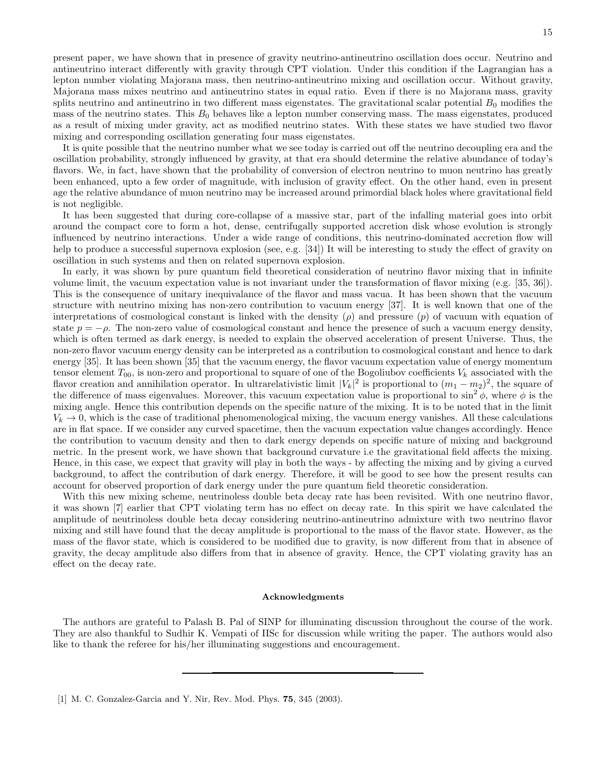present paper, we have shown that in presence of gravity neutrino-antineutrino oscillation does occur. Neutrino and antineutrino interact differently with gravity through CPT violation. Under this condition if the Lagrangian has a lepton number violating Majorana mass, then neutrino-antineutrino mixing and oscillation occur. Without gravity, Majorana mass mixes neutrino and antineutrino states in equal ratio. Even if there is no Majorana mass, gravity splits neutrino and antineutrino in two different mass eigenstates. The gravitational scalar potential  $B_0$  modifies the mass of the neutrino states. This  $B_0$  behaves like a lepton number conserving mass. The mass eigenstates, produced as a result of mixing under gravity, act as modified neutrino states. With these states we have studied two flavor mixing and corresponding oscillation generating four mass eigenstates.

It is quite possible that the neutrino number what we see today is carried out off the neutrino decoupling era and the oscillation probability, strongly influenced by gravity, at that era should determine the relative abundance of today's flavors. We, in fact, have shown that the probability of conversion of electron neutrino to muon neutrino has greatly been enhanced, upto a few order of magnitude, with inclusion of gravity effect. On the other hand, even in present age the relative abundance of muon neutrino may be increased around primordial black holes where gravitational field is not negligible.

It has been suggested that during core-collapse of a massive star, part of the infalling material goes into orbit around the compact core to form a hot, dense, centrifugally supported accretion disk whose evolution is strongly influenced by neutrino interactions. Under a wide range of conditions, this neutrino-dominated accretion flow will help to produce a successful supernova explosion (see, e.g. [34]) It will be interesting to study the effect of gravity on oscillation in such systems and then on related supernova explosion.

In early, it was shown by pure quantum field theoretical consideration of neutrino flavor mixing that in infinite volume limit, the vacuum expectation value is not invariant under the transformation of flavor mixing (e.g. [35, 36]). This is the consequence of unitary inequivalance of the flavor and mass vacua. It has been shown that the vacuum structure with neutrino mixing has non-zero contribution to vacuum energy [37]. It is well known that one of the interpretations of cosmological constant is linked with the density  $(\rho)$  and pressure  $(p)$  of vacuum with equation of state  $p = -\rho$ . The non-zero value of cosmological constant and hence the presence of such a vacuum energy density, which is often termed as dark energy, is needed to explain the observed acceleration of present Universe. Thus, the non-zero flavor vacuum energy density can be interpreted as a contribution to cosmological constant and hence to dark energy [35]. It has been shown [35] that the vacuum energy, the flavor vacuum expectation value of energy momentum tensor element  $T_{00}$ , is non-zero and proportional to square of one of the Bogoliubov coefficients  $V_k$  associated with the flavor creation and annihilation operator. In ultrarelativistic limit  $|V_k|^2$  is proportional to  $(m_1 - m_2)^2$ , the square of the difference of mass eigenvalues. Moreover, this vacuum expectation value is proportional to  $\sin^2 \phi$ , where  $\phi$  is the mixing angle. Hence this contribution depends on the specific nature of the mixing. It is to be noted that in the limit  $V_k \to 0$ , which is the case of traditional phenomenological mixing, the vacuum energy vanishes. All these calculations are in flat space. If we consider any curved spacetime, then the vacuum expectation value changes accordingly. Hence the contribution to vacuum density and then to dark energy depends on specific nature of mixing and background metric. In the present work, we have shown that background curvature i.e the gravitational field affects the mixing. Hence, in this case, we expect that gravity will play in both the ways - by affecting the mixing and by giving a curved background, to affect the contribution of dark energy. Therefore, it will be good to see how the present results can account for observed proportion of dark energy under the pure quantum field theoretic consideration.

With this new mixing scheme, neutrinoless double beta decay rate has been revisited. With one neutrino flavor, it was shown [7] earlier that CPT violating term has no effect on decay rate. In this spirit we have calculated the amplitude of neutrinoless double beta decay considering neutrino-antineutrino admixture with two neutrino flavor mixing and still have found that the decay amplitude is proportional to the mass of the flavor state. However, as the mass of the flavor state, which is considered to be modified due to gravity, is now different from that in absence of gravity, the decay amplitude also differs from that in absence of gravity. Hence, the CPT violating gravity has an effect on the decay rate.

### Acknowledgments

The authors are grateful to Palash B. Pal of SINP for illuminating discussion throughout the course of the work. They are also thankful to Sudhir K. Vempati of IISc for discussion while writing the paper. The authors would also like to thank the referee for his/her illuminating suggestions and encouragement.

<sup>[1]</sup> M. C. Gonzalez-Garcia and Y. Nir, Rev. Mod. Phys. 75, 345 (2003).